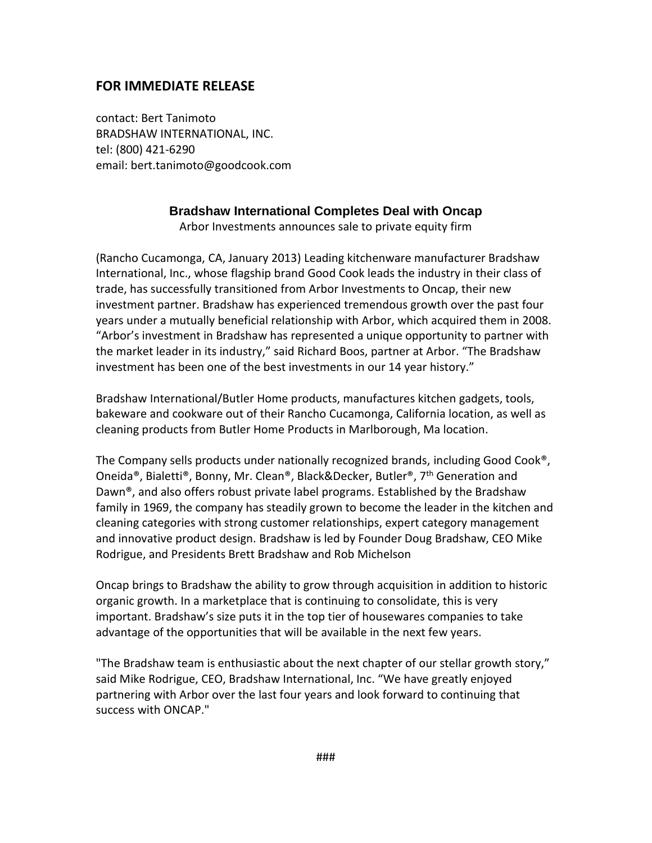## **FOR IMMEDIATE RELEASE**

contact: Bert Tanimoto BRADSHAW INTERNATIONAL, INC. tel: (800) 421-6290 email: bert.tanimoto@goodcook.com

## **Bradshaw International Completes Deal with Oncap**

Arbor Investments announces sale to private equity firm

(Rancho Cucamonga, CA, January 2013) Leading kitchenware manufacturer Bradshaw International, Inc., whose flagship brand Good Cook leads the industry in their class of trade, has successfully transitioned from Arbor Investments to Oncap, their new investment partner. Bradshaw has experienced tremendous growth over the past four years under a mutually beneficial relationship with Arbor, which acquired them in 2008. "Arbor's investment in Bradshaw has represented a unique opportunity to partner with the market leader in its industry," said Richard Boos, partner at Arbor. "The Bradshaw investment has been one of the best investments in our 14 year history."

Bradshaw International/Butler Home products, manufactures kitchen gadgets, tools, bakeware and cookware out of their Rancho Cucamonga, California location, as well as cleaning products from Butler Home Products in Marlborough, Ma location.

The Company sells products under nationally recognized brands, including Good Cook®, Oneida®, Bialetti®, Bonny, Mr. Clean®, Black&Decker, Butler®, 7<sup>th</sup> Generation and Dawn®, and also offers robust private label programs. Established by the Bradshaw family in 1969, the company has steadily grown to become the leader in the kitchen and cleaning categories with strong customer relationships, expert category management and innovative product design. Bradshaw is led by Founder Doug Bradshaw, CEO Mike Rodrigue, and Presidents Brett Bradshaw and Rob Michelson

Oncap brings to Bradshaw the ability to grow through acquisition in addition to historic organic growth. In a marketplace that is continuing to consolidate, this is very important. Bradshaw's size puts it in the top tier of housewares companies to take advantage of the opportunities that will be available in the next few years.

"The Bradshaw team is enthusiastic about the next chapter of our stellar growth story," said Mike Rodrigue, CEO, Bradshaw International, Inc. "We have greatly enjoyed partnering with Arbor over the last four years and look forward to continuing that success with ONCAP."